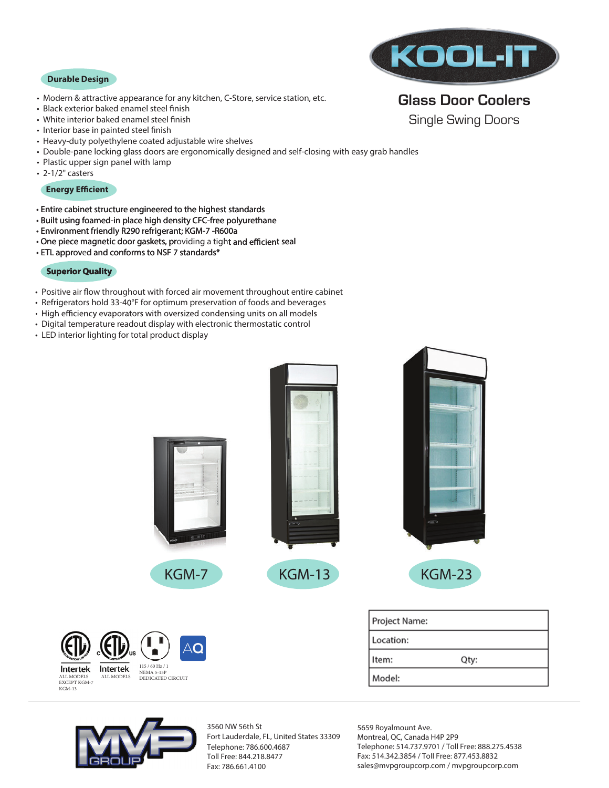### **Durable Design**

- Modern & attractive appearance for any kitchen, C-Store, service station, etc.
- Black exterior baked enamel steel finish
- White interior baked enamel steel finish
- Interior base in painted steel finish
- Heavy-duty polyethylene coated adjustable wire shelves
- Double-pane locking glass doors are ergonomically designed and self-closing with easy grab handles
- Plastic upper sign panel with lamp
- 2-1/2" casters

### **Energy Efficient**

- Entire cabinet structure engineered to the highest standards
- Built using foamed-in place high density CFC-free polyurethane
- Environment friendly R290 refrigerant; KGM-7 -R600a
- One piece magnetic door gaskets, providing a tight and efficient seal
- ETL approved and conforms to NSF 7 standards\*

## **Superior Quality**

- Positive air flow throughout with forced air movement throughout entire cabinet
- Refrigerators hold 33-40°F for optimum preservation of foods and beverages
- High efficiency evaporators with oversized condensing units on all models
- Digital temperature readout display with electronic thermostatic control
- LED interior lighting for total product display



# **Glass Door Coolers**

Single Swing Doors





ALL MODELS ALL MODELS

Intertek

EXCEPT KGM-7 KGM-13

Intertek

3560 NW 56th St Fort Lauderdale, FL, United States 33309 Telephone: 786.600.4687 Toll Free: 844.218.8477 Fax: 786.661.4100

5659 Royalmount Ave. Montreal, QC, Canada H4P 2P9 Telephone: 514.737.9701 / Toll Free: 888.275.4538 Fax: 514.342.3854 / Toll Free: 877.453.8832 sales@mvpgroupcorp.com / mvpgroupcorp.com